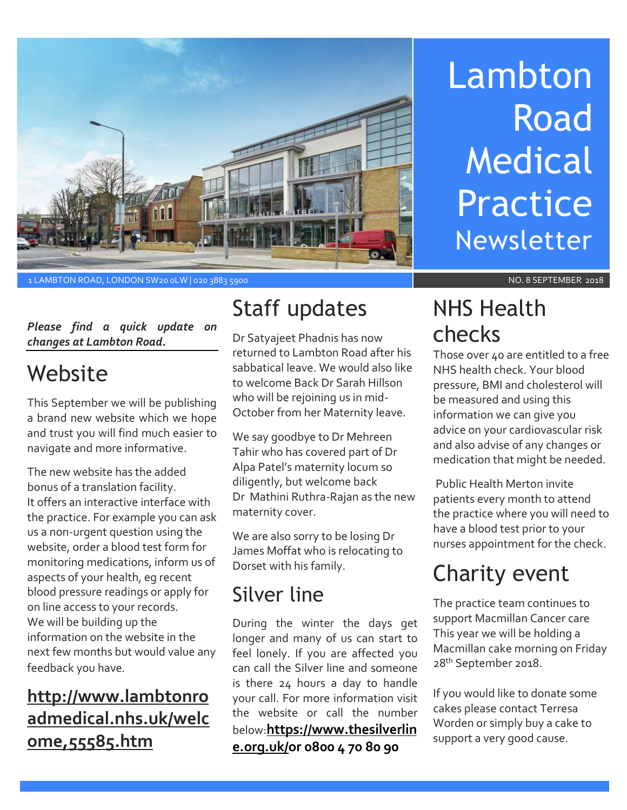

# Lambton Road Medical Practice Newsletter

1 LAMBTON ROAD, LONDON SW20 0LW | 020 3883 5900 NO. 8 SEPTEMBER 2018

#### *Please find a quick update on changes at Lambton Road.*

# Website

This September we will be publishing a brand new website which we hope and trust you will find much easier to navigate and more informative.

The new website has the added bonus of a translation facility. It offers an interactive interface with the practice. For example you can ask us a non-urgent question using the website, order a blood test form for monitoring medications, inform us of aspects of your health, eg recent blood pressure readings or apply for on line access to your records. We will be building up the information on the website in the next few months but would value any feedback you have.

#### **http://www.lambtonro admedical.nhs.uk/welc ome,55585.htm**

# Staff updates

Dr Satyajeet Phadnis has now returned to Lambton Road after his sabbatical leave. We would also like to welcome Back Dr Sarah Hillson who will be rejoining us in mid-October from her Maternity leave.

We say goodbye to Dr Mehreen Tahir who has covered part of Dr Alpa Patel's maternity locum so diligently, but welcome back Dr Mathini Ruthra-Rajan as the new maternity cover.

We are also sorry to be losing Dr James Moffat who is relocating to Dorset with his family.

#### Silver line

During the winter the days get longer and many of us can start to feel lonely. If you are affected you can call the Silver line and someone is there 24 hours a day to handle your call. For more information visit the website or call the number below:**[https://www.thesilverlin](https://www.thesilverline.org.uk/) [e.org.uk/o](https://www.thesilverline.org.uk/)r [0800 4 70 80 90](tel:0800%204%2070%2080%2090)**

NHS Health checks

Those over 40 are entitled to a free NHS health check. Your blood pressure, BMI and cholesterol will be measured and using this information we can give you advice on your cardiovascular risk and also advise of any changes or medication that might be needed.

Public Health Merton invite patients every month to attend the practice where you will need to have a blood test prior to your nurses appointment for the check.

# Charity event

The practice team continues to support Macmillan Cancer care This year we will be holding a Macmillan cake morning on Friday 28<sup>th</sup> September 2018.

If you would like to donate some cakes please contact Terresa Worden or simply buy a cake to support a very good cause.